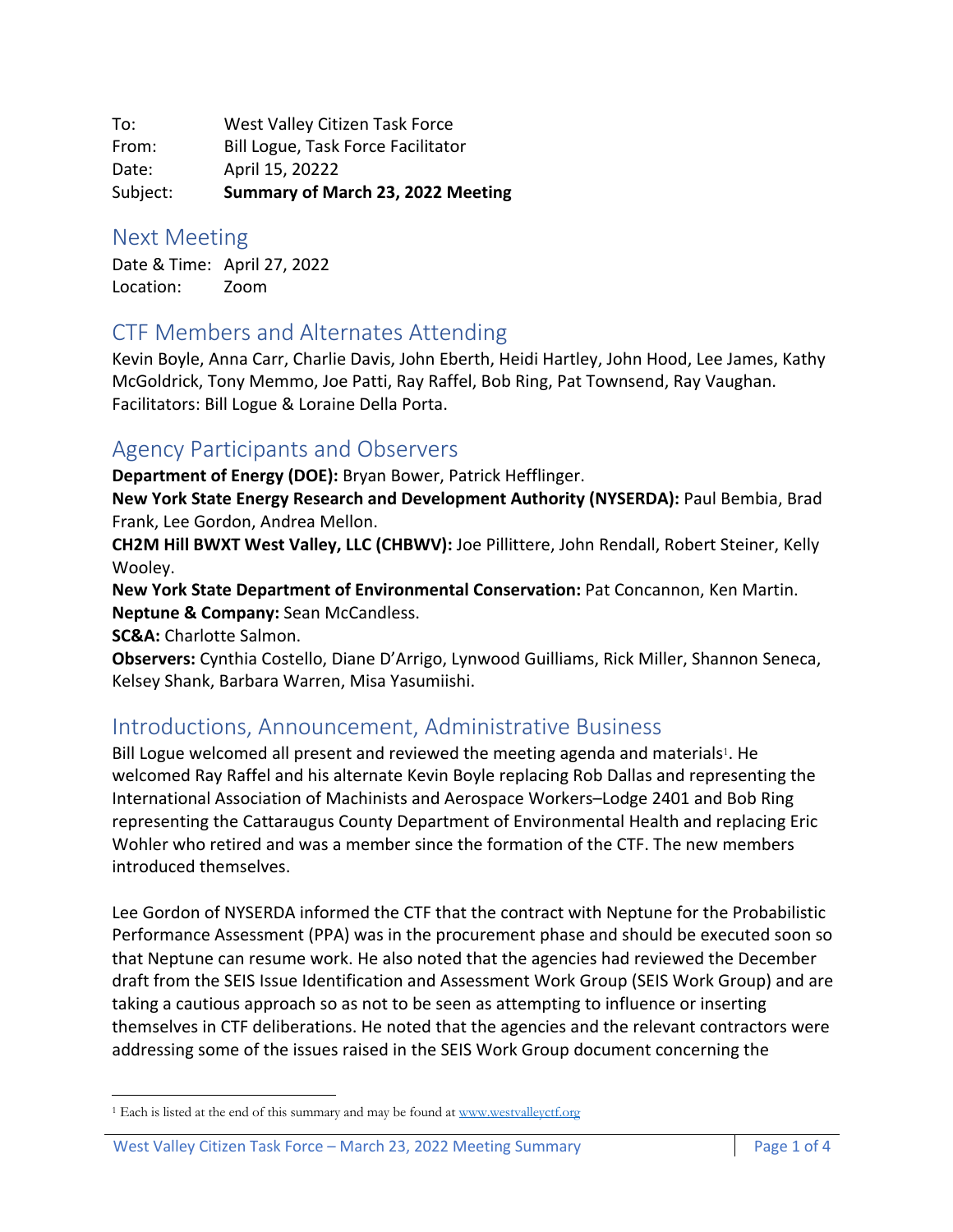To: West Valley Citizen Task Force From: Bill Logue, Task Force Facilitator Date: April 15, 20222 Subject: **Summary of March 23, 2022 Meeting**

#### Next Meeting

Date & Time: April 27, 2022 Location: Zoom

#### CTF Members and Alternates Attending

Kevin Boyle, Anna Carr, Charlie Davis, John Eberth, Heidi Hartley, John Hood, Lee James, Kathy McGoldrick, Tony Memmo, Joe Patti, Ray Raffel, Bob Ring, Pat Townsend, Ray Vaughan. Facilitators: Bill Logue & Loraine Della Porta.

#### Agency Participants and Observers

**Department of Energy (DOE):** Bryan Bower, Patrick Hefflinger.

**New York State Energy Research and Development Authority (NYSERDA):** Paul Bembia, Brad Frank, Lee Gordon, Andrea Mellon.

**CH2M Hill BWXT West Valley, LLC (CHBWV):** Joe Pillittere, John Rendall, Robert Steiner, Kelly Wooley.

**New York State Department of Environmental Conservation:** Pat Concannon, Ken Martin. **Neptune & Company:** Sean McCandless.

**SC&A:** Charlotte Salmon.

**Observers:** Cynthia Costello, Diane D'Arrigo, Lynwood Guilliams, Rick Miller, Shannon Seneca, Kelsey Shank, Barbara Warren, Misa Yasumiishi.

### Introductions, Announcement, Administrative Business

Bill Logue welcomed all present and reviewed the meeting agenda and materials<sup>1</sup>. He welcomed Ray Raffel and his alternate Kevin Boyle replacing Rob Dallas and representing the International Association of Machinists and Aerospace Workers–Lodge 2401 and Bob Ring representing the Cattaraugus County Department of Environmental Health and replacing Eric Wohler who retired and was a member since the formation of the CTF. The new members introduced themselves.

Lee Gordon of NYSERDA informed the CTF that the contract with Neptune for the Probabilistic Performance Assessment (PPA) was in the procurement phase and should be executed soon so that Neptune can resume work. He also noted that the agencies had reviewed the December draft from the SEIS Issue Identification and Assessment Work Group (SEIS Work Group) and are taking a cautious approach so as not to be seen as attempting to influence or inserting themselves in CTF deliberations. He noted that the agencies and the relevant contractors were addressing some of the issues raised in the SEIS Work Group document concerning the

<sup>&</sup>lt;sup>1</sup> Each is listed at the end of this summary and may be found at www.westvalleyctf.org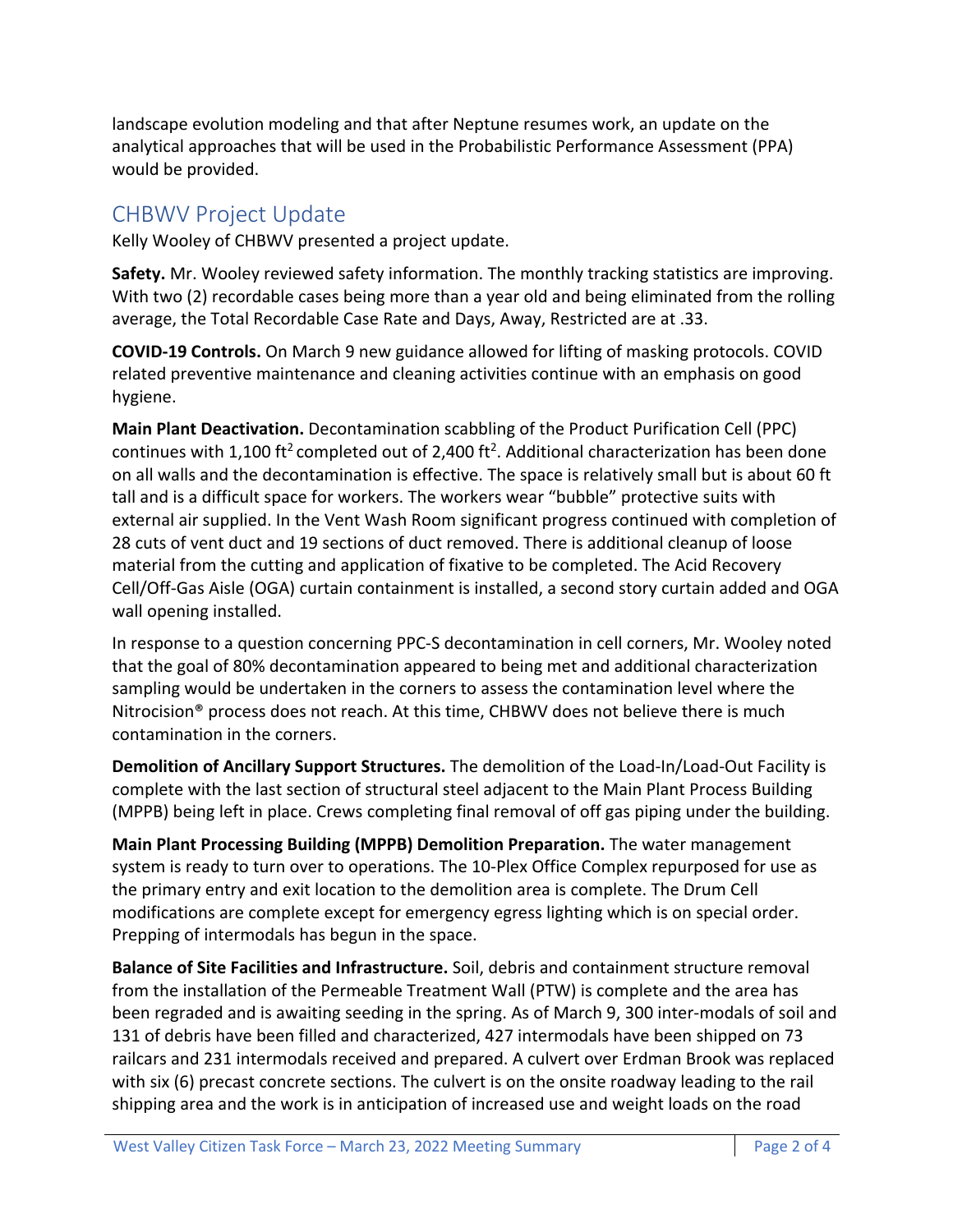landscape evolution modeling and that after Neptune resumes work, an update on the analytical approaches that will be used in the Probabilistic Performance Assessment (PPA) would be provided.

# CHBWV Project Update

Kelly Wooley of CHBWV presented a project update.

**Safety.** Mr. Wooley reviewed safety information. The monthly tracking statistics are improving. With two (2) recordable cases being more than a year old and being eliminated from the rolling average, the Total Recordable Case Rate and Days, Away, Restricted are at .33.

**COVID-19 Controls.** On March 9 new guidance allowed for lifting of masking protocols. COVID related preventive maintenance and cleaning activities continue with an emphasis on good hygiene.

**Main Plant Deactivation.** Decontamination scabbling of the Product Purification Cell (PPC) continues with 1,100 ft<sup>2</sup> completed out of 2,400 ft<sup>2</sup>. Additional characterization has been done on all walls and the decontamination is effective. The space is relatively small but is about 60 ft tall and is a difficult space for workers. The workers wear "bubble" protective suits with external air supplied. In the Vent Wash Room significant progress continued with completion of 28 cuts of vent duct and 19 sections of duct removed. There is additional cleanup of loose material from the cutting and application of fixative to be completed. The Acid Recovery Cell/Off-Gas Aisle (OGA) curtain containment is installed, a second story curtain added and OGA wall opening installed.

In response to a question concerning PPC-S decontamination in cell corners, Mr. Wooley noted that the goal of 80% decontamination appeared to being met and additional characterization sampling would be undertaken in the corners to assess the contamination level where the Nitrocision® process does not reach. At this time, CHBWV does not believe there is much contamination in the corners.

**Demolition of Ancillary Support Structures.** The demolition of the Load-In/Load-Out Facility is complete with the last section of structural steel adjacent to the Main Plant Process Building (MPPB) being left in place. Crews completing final removal of off gas piping under the building.

**Main Plant Processing Building (MPPB) Demolition Preparation.** The water management system is ready to turn over to operations. The 10-Plex Office Complex repurposed for use as the primary entry and exit location to the demolition area is complete. The Drum Cell modifications are complete except for emergency egress lighting which is on special order. Prepping of intermodals has begun in the space.

**Balance of Site Facilities and Infrastructure.** Soil, debris and containment structure removal from the installation of the Permeable Treatment Wall (PTW) is complete and the area has been regraded and is awaiting seeding in the spring. As of March 9, 300 inter-modals of soil and 131 of debris have been filled and characterized, 427 intermodals have been shipped on 73 railcars and 231 intermodals received and prepared. A culvert over Erdman Brook was replaced with six (6) precast concrete sections. The culvert is on the onsite roadway leading to the rail shipping area and the work is in anticipation of increased use and weight loads on the road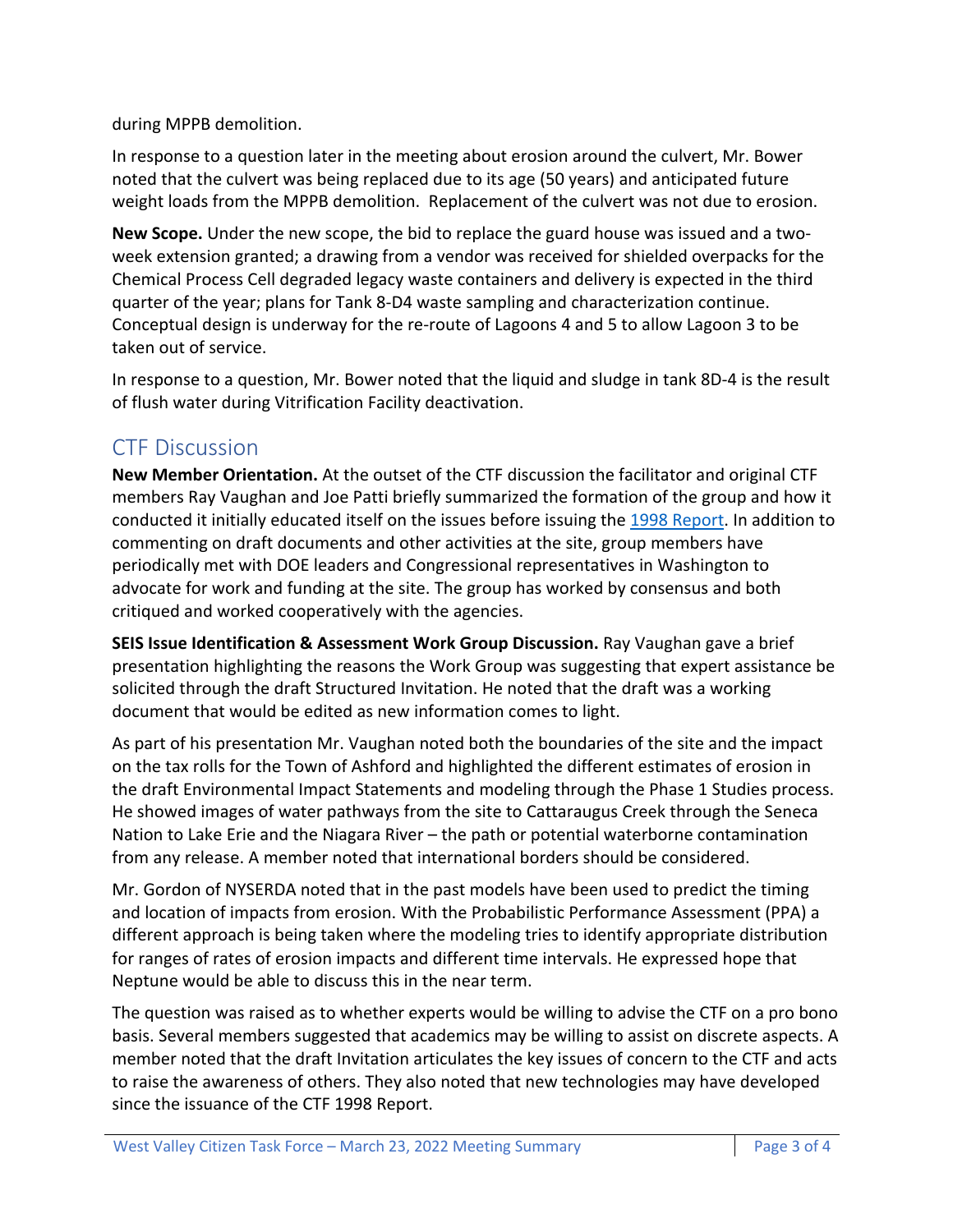during MPPB demolition.

In response to a question later in the meeting about erosion around the culvert, Mr. Bower noted that the culvert was being replaced due to its age (50 years) and anticipated future weight loads from the MPPB demolition. Replacement of the culvert was not due to erosion.

**New Scope.** Under the new scope, the bid to replace the guard house was issued and a twoweek extension granted; a drawing from a vendor was received for shielded overpacks for the Chemical Process Cell degraded legacy waste containers and delivery is expected in the third quarter of the year; plans for Tank 8-D4 waste sampling and characterization continue. Conceptual design is underway for the re-route of Lagoons 4 and 5 to allow Lagoon 3 to be taken out of service.

In response to a question, Mr. Bower noted that the liquid and sludge in tank 8D-4 is the result of flush water during Vitrification Facility deactivation.

# CTF Discussion

**New Member Orientation.** At the outset of the CTF discussion the facilitator and original CTF members Ray Vaughan and Joe Patti briefly summarized the formation of the group and how it conducted it initially educated itself on the issues before issuing the 1998 Report. In addition to commenting on draft documents and other activities at the site, group members have periodically met with DOE leaders and Congressional representatives in Washington to advocate for work and funding at the site. The group has worked by consensus and both critiqued and worked cooperatively with the agencies.

**SEIS Issue Identification & Assessment Work Group Discussion.** Ray Vaughan gave a brief presentation highlighting the reasons the Work Group was suggesting that expert assistance be solicited through the draft Structured Invitation. He noted that the draft was a working document that would be edited as new information comes to light.

As part of his presentation Mr. Vaughan noted both the boundaries of the site and the impact on the tax rolls for the Town of Ashford and highlighted the different estimates of erosion in the draft Environmental Impact Statements and modeling through the Phase 1 Studies process. He showed images of water pathways from the site to Cattaraugus Creek through the Seneca Nation to Lake Erie and the Niagara River – the path or potential waterborne contamination from any release. A member noted that international borders should be considered.

Mr. Gordon of NYSERDA noted that in the past models have been used to predict the timing and location of impacts from erosion. With the Probabilistic Performance Assessment (PPA) a different approach is being taken where the modeling tries to identify appropriate distribution for ranges of rates of erosion impacts and different time intervals. He expressed hope that Neptune would be able to discuss this in the near term.

The question was raised as to whether experts would be willing to advise the CTF on a pro bono basis. Several members suggested that academics may be willing to assist on discrete aspects. A member noted that the draft Invitation articulates the key issues of concern to the CTF and acts to raise the awareness of others. They also noted that new technologies may have developed since the issuance of the CTF 1998 Report.